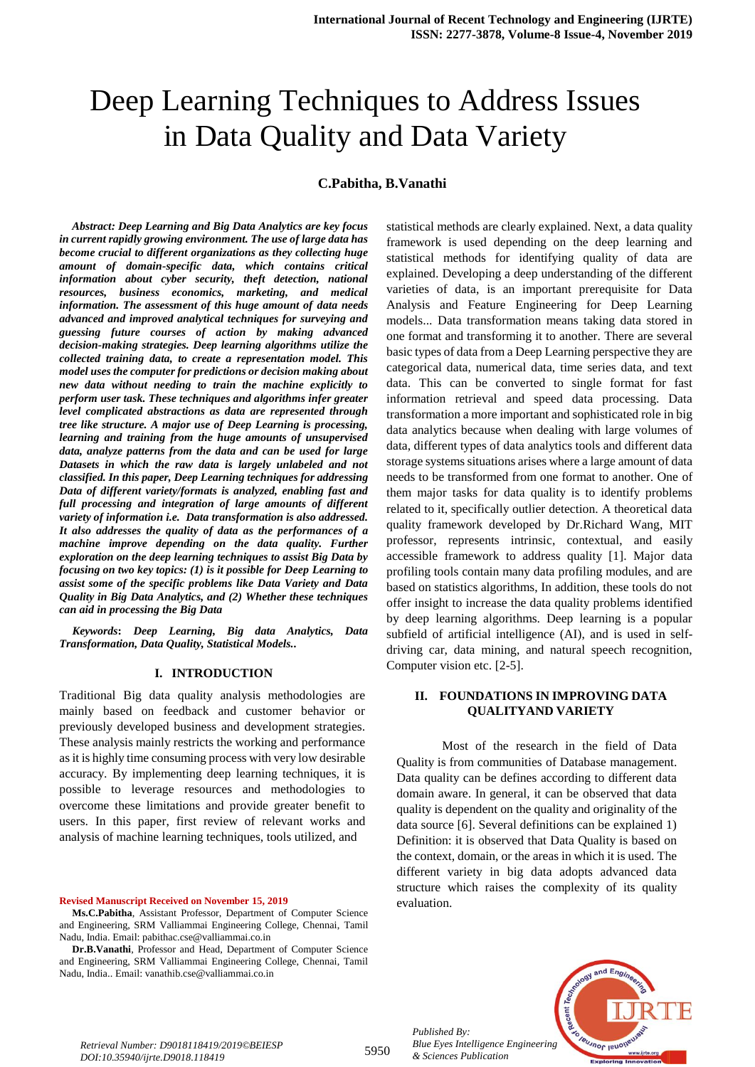# Deep Learning Techniques to Address Issues in Data Quality and Data Variety

## **C.Pabitha, B.Vanathi**

*Abstract: Deep Learning and Big Data Analytics are key focus in current rapidly growing environment. The use of large data has become crucial to different organizations as they collecting huge amount of domain-specific data, which contains critical information about cyber security, theft detection, national resources, business economics, marketing, and medical information. The assessment of this huge amount of data needs advanced and improved analytical techniques for surveying and guessing future courses of action by making advanced decision-making strategies. Deep learning algorithms utilize the collected training data, to create a representation model. This model uses the computer for predictions or decision making about new data without needing to train the machine explicitly to perform user task. These techniques and algorithms infer greater level complicated abstractions as data are represented through tree like structure. A major use of Deep Learning is processing, learning and training from the huge amounts of unsupervised data, analyze patterns from the data and can be used for large Datasets in which the raw data is largely unlabeled and not classified. In this paper, Deep Learning techniques for addressing Data of different variety/formats is analyzed, enabling fast and full processing and integration of large amounts of different variety of information i.e. Data transformation is also addressed. It also addresses the quality of data as the performances of a machine improve depending on the data quality. Further exploration on the deep learning techniques to assist Big Data by focusing on two key topics: (1) is it possible for Deep Learning to assist some of the specific problems like Data Variety and Data Quality in Big Data Analytics, and (2) Whether these techniques can aid in processing the Big Data*

*Keywords***:** *Deep Learning, Big data Analytics, Data Transformation, Data Quality, Statistical Models..* 

#### **I. INTRODUCTION**

Traditional Big data quality analysis methodologies are mainly based on feedback and customer behavior or previously developed business and development strategies. These analysis mainly restricts the working and performance as it is highly time consuming process with very low desirable accuracy. By implementing deep learning techniques, it is possible to leverage resources and methodologies to overcome these limitations and provide greater benefit to users. In this paper, first review of relevant works and analysis of machine learning techniques, tools utilized, and

**Revised Manuscript Received on November 15, 2019**

**Dr.B.Vanathi**, Professor and Head, Department of Computer Science and Engineering, SRM Valliammai Engineering College, Chennai, Tamil Nadu, India.. Email: vanathib.cse@valliammai.co.in

statistical methods are clearly explained. Next, a data quality framework is used depending on the deep learning and statistical methods for identifying quality of data are explained. Developing a deep understanding of the different varieties of data, is an important prerequisite for Data Analysis and Feature Engineering for Deep Learning models... Data transformation means taking data stored in one format and transforming it to another. There are several basic types of data from a Deep Learning perspective they are categorical data, numerical data, time series data, and text data. This can be converted to single format for fast information retrieval and speed data processing. Data transformation a more important and sophisticated role in big data analytics because when dealing with large volumes of data, different types of data analytics tools and different data storage systems situations arises where a large amount of data needs to be transformed from one format to another. One of them major tasks for data quality is to identify problems related to it, specifically outlier detection. A theoretical data quality framework developed by Dr.Richard Wang, MIT professor, represents intrinsic, contextual, and easily accessible framework to address quality [1]. Major data profiling tools contain many data profiling modules, and are based on statistics algorithms, In addition, these tools do not offer insight to increase the data quality problems identified by deep learning algorithms. Deep learning is a popular subfield of artificial intelligence (AI), and is used in selfdriving car, data mining, and natural speech recognition, Computer vision etc. [2-5].

#### **II. FOUNDATIONS IN IMPROVING DATA QUALITYAND VARIETY**

Most of the research in the field of Data Quality is from communities of Database management. Data quality can be defines according to different data domain aware. In general, it can be observed that data quality is dependent on the quality and originality of the data source [6]. Several definitions can be explained 1) Definition: it is observed that Data Quality is based on the context, domain, or the areas in which it is used. The different variety in big data adopts advanced data structure which raises the complexity of its quality evaluation.



*Retrieval Number: D9018118419/2019©BEIESP DOI:10.35940/ijrte.D9018.118419*

5950

**Ms.C.Pabitha**, Assistant Professor, Department of Computer Science and Engineering, SRM Valliammai Engineering College, Chennai, Tamil Nadu, India. Email: pabithac.cse@valliammai.co.in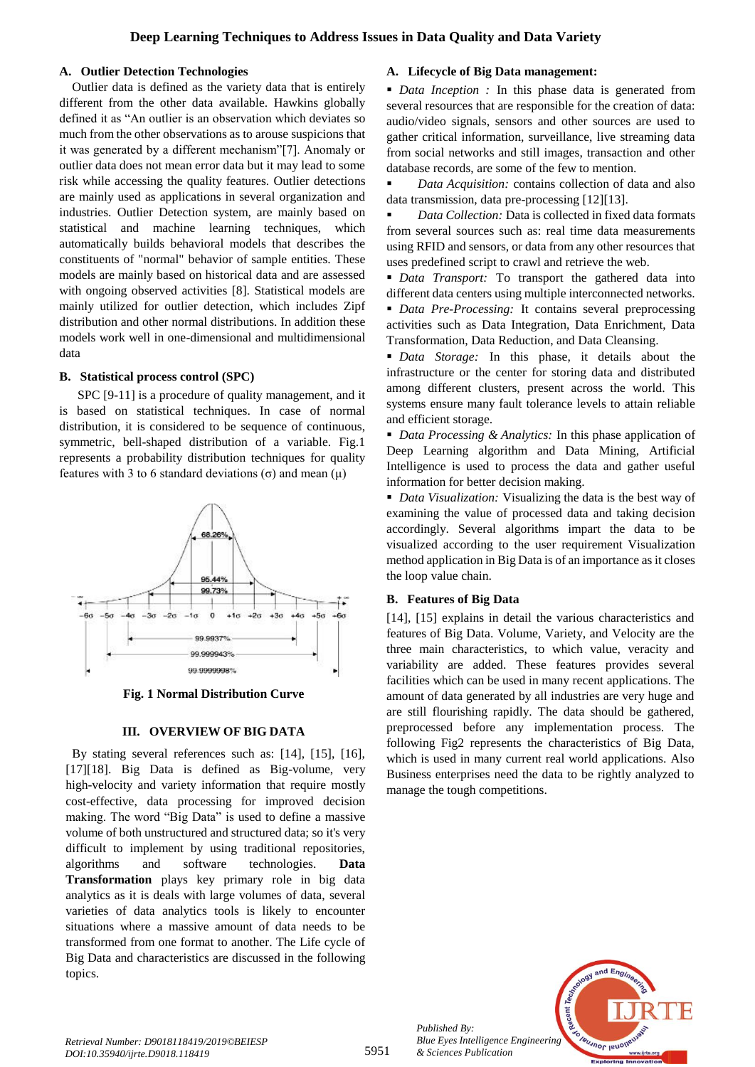# **A. Outlier Detection Technologies**

Outlier data is defined as the variety data that is entirely different from the other data available. Hawkins globally defined it as "An outlier is an observation which deviates so much from the other observations as to arouse suspicions that it was generated by a different mechanism"[7]. Anomaly or outlier data does not mean error data but it may lead to some risk while accessing the quality features. Outlier detections are mainly used as applications in several organization and industries. Outlier Detection system, are mainly based on statistical and machine learning techniques, which automatically builds behavioral models that describes the constituents of "normal" behavior of sample entities. These models are mainly based on historical data and are assessed with ongoing observed activities [8]. Statistical models are mainly utilized for outlier detection, which includes Zipf distribution and other normal distributions. In addition these models work well in one-dimensional and multidimensional data

# **B. Statistical process control (SPC)**

SPC [9-11] is a procedure of quality management, and it is based on statistical techniques. In case of normal distribution, it is considered to be sequence of continuous. symmetric, bell-shaped distribution of a variable. Fig.1 represents a probability distribution techniques for quality features with 3 to 6 standard deviations ( $\sigma$ ) and mean (μ)



**Fig. 1 Normal Distribution Curve**

# **III. OVERVIEW OF BIG DATA**

By stating several references such as: [14], [15], [16], [17][18]. Big Data is defined as Big-volume, very high-velocity and variety information that require mostly cost-effective, data processing for improved decision making. The word "Big Data" is used to define a massive volume of both unstructured and structured data; so it's very difficult to implement by using traditional repositories, algorithms and software technologies. **Data Transformation** plays key primary role in big data analytics as it is deals with large volumes of data, several varieties of data analytics tools is likely to encounter situations where a massive amount of data needs to be transformed from one format to another. The Life cycle of Big Data and characteristics are discussed in the following topics.

## **A. Lifecycle of Big Data management:**

 *Data Inception :* In this phase data is generated from several resources that are responsible for the creation of data: audio/video signals, sensors and other sources are used to gather critical information, surveillance, live streaming data from social networks and still images, transaction and other database records, are some of the few to mention.

 *Data Acquisition:* contains collection of data and also data transmission, data pre-processing [12][13].

 *Data Collection:* Data is collected in fixed data formats from several sources such as: real time data measurements using RFID and sensors, or data from any other resources that uses predefined script to crawl and retrieve the web.

 *Data Transport:* To transport the gathered data into different data centers using multiple interconnected networks.

 *Data Pre-Processing:* It contains several preprocessing activities such as Data Integration, Data Enrichment, Data Transformation, Data Reduction, and Data Cleansing.

 *Data Storage:* In this phase, it details about the infrastructure or the center for storing data and distributed among different clusters, present across the world. This systems ensure many fault tolerance levels to attain reliable and efficient storage.

 *Data Processing & Analytics:* In this phase application of Deep Learning algorithm and Data Mining, Artificial Intelligence is used to process the data and gather useful information for better decision making.

 *Data Visualization:* Visualizing the data is the best way of examining the value of processed data and taking decision accordingly. Several algorithms impart the data to be visualized according to the user requirement Visualization method application in Big Data is of an importance as it closes the loop value chain.

# **B. Features of Big Data**

[14], [15] explains in detail the various characteristics and features of Big Data. Volume, Variety, and Velocity are the three main characteristics, to which value, veracity and variability are added. These features provides several facilities which can be used in many recent applications. The amount of data generated by all industries are very huge and are still flourishing rapidly. The data should be gathered, preprocessed before any implementation process. The following Fig2 represents the characteristics of Big Data, which is used in many current real world applications. Also Business enterprises need the data to be rightly analyzed to manage the tough competitions.



*Published By:*

*& Sciences Publication*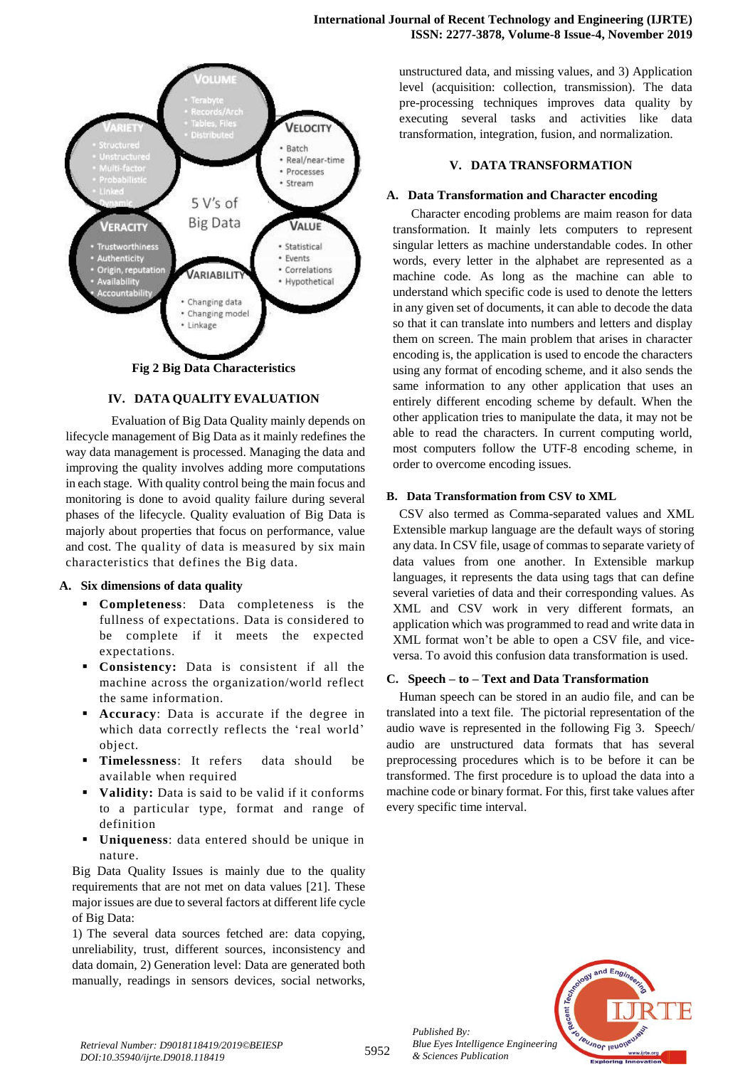

**Fig 2 Big Data Characteristics**

# **IV. DATA QUALITY EVALUATION**

Evaluation of Big Data Quality mainly depends on lifecycle management of Big Data as it mainly redefines the way data management is processed. Managing the data and improving the quality involves adding more computations in each stage. With quality control being the main focus and monitoring is done to avoid quality failure during several phases of the lifecycle. Quality evaluation of Big Data is majorly about properties that focus on performance, value and cost. The quality of data is measured by six main characteristics that defines the Big data.

#### **A. Six dimensions of data quality**

- **Completeness**: Data completeness is the fullness of expectations. Data is considered to be complete if it meets the expected expectations.
- **Consistency:** Data is consistent if all the machine across the organization/world reflect the same information.
- **Accuracy**: Data is accurate if the degree in which data correctly reflects the 'real world' object.
- **Timelessness**: It refers data should be available when required
- **Validity:** Data is said to be valid if it conforms to a particular type, format and range of definition
- **Uniqueness**: data entered should be unique in nature.

Big Data Quality Issues is mainly due to the quality requirements that are not met on data values [21]. These major issues are due to several factors at different life cycle of Big Data:

1) The several data sources fetched are: data copying, unreliability, trust, different sources, inconsistency and data domain, 2) Generation level: Data are generated both manually, readings in sensors devices, social networks,

unstructured data, and missing values, and 3) Application level (acquisition: collection, transmission). The data pre-processing techniques improves data quality by executing several tasks and activities like data transformation, integration, fusion, and normalization.

## **V. DATA TRANSFORMATION**

## **A. Data Transformation and Character encoding**

Character encoding problems are maim reason for data transformation. It mainly lets computers to represent singular letters as machine understandable codes. In other words, every letter in the alphabet are represented as a machine code. As long as the machine can able to understand which specific code is used to denote the letters in any given set of documents, it can able to decode the data so that it can translate into numbers and letters and display them on screen. The main problem that arises in character encoding is, the application is used to encode the characters using any format of encoding scheme, and it also sends the same information to any other application that uses an entirely different encoding scheme by default. When the other application tries to manipulate the data, it may not be able to read the characters. In current computing world, most computers follow the UTF-8 encoding scheme, in order to overcome encoding issues.

# **B. Data Transformation from CSV to XML**

CSV also termed as Comma-separated values and XML Extensible markup language are the default ways of storing any data. In CSV file, usage of commas to separate variety of data values from one another. In Extensible markup languages, it represents the data using tags that can define several varieties of data and their corresponding values. As XML and CSV work in very different formats, an application which was programmed to read and write data in XML format won't be able to open a CSV file, and viceversa. To avoid this confusion data transformation is used.

#### **C. Speech – to – Text and Data Transformation**

Human speech can be stored in an audio file, and can be translated into a text file. The pictorial representation of the audio wave is represented in the following Fig 3. Speech/ audio are unstructured data formats that has several preprocessing procedures which is to be before it can be transformed. The first procedure is to upload the data into a machine code or binary format. For this, first take values after every specific time interval.



*Retrieval Number: D9018118419/2019©BEIESP DOI:10.35940/ijrte.D9018.118419*

*Published By:*

*& Sciences Publication*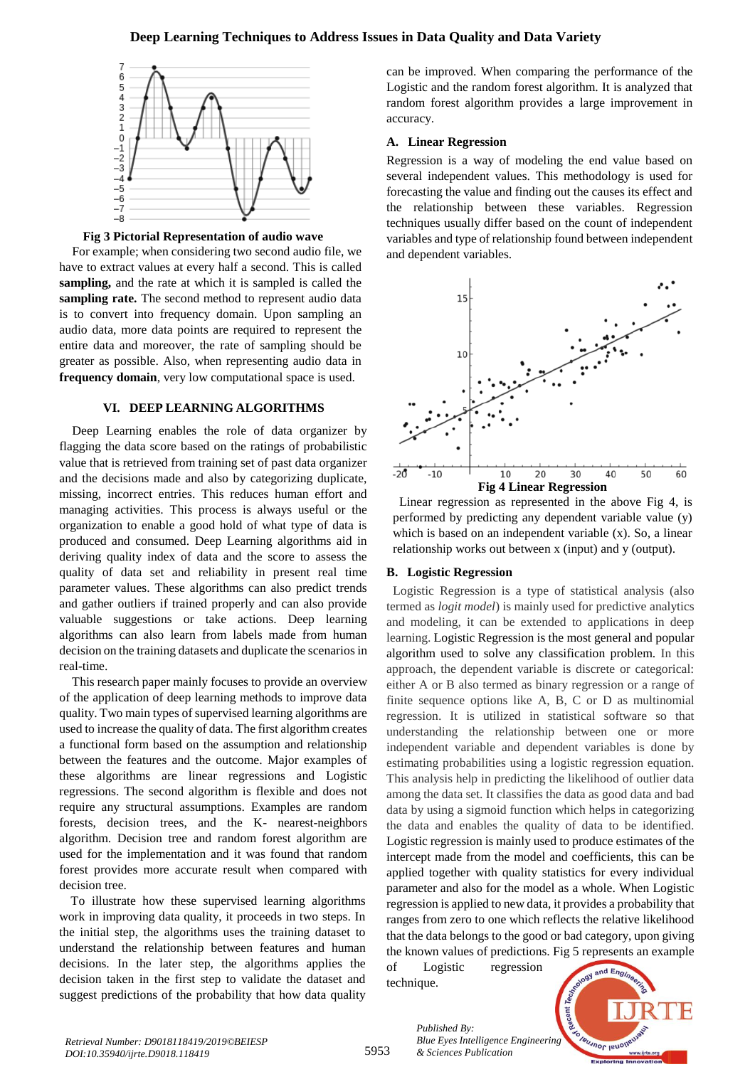# **Deep Learning Techniques to Address Issues in Data Quality and Data Variety**





For example; when considering two second audio file, we have to extract values at every half a second. This is called **sampling,** and the rate at which it is sampled is called the sampling rate. The second method to represent audio data is to convert into frequency domain. Upon sampling an audio data, more data points are required to represent the entire data and moreover, the rate of sampling should be greater as possible. Also, when representing audio data in **frequency domain**, very low computational space is used.

#### **VI. DEEP LEARNING ALGORITHMS**

Deep Learning enables the role of data organizer by flagging the data score based on the ratings of probabilistic value that is retrieved from training set of past data organizer and the decisions made and also by categorizing duplicate, missing, incorrect entries. This reduces human effort and managing activities. This process is always useful or the organization to enable a good hold of what type of data is produced and consumed. Deep Learning algorithms aid in deriving quality index of data and the score to assess the quality of data set and reliability in present real time parameter values. These algorithms can also predict trends and gather outliers if trained properly and can also provide valuable suggestions or take actions. Deep learning algorithms can also learn from labels made from human decision on the training datasets and duplicate the scenarios in real-time.

This research paper mainly focuses to provide an overview of the application of deep learning methods to improve data quality. Two main types of supervised learning algorithms are used to increase the quality of data. The first algorithm creates a functional form based on the assumption and relationship between the features and the outcome. Major examples of these algorithms are linear regressions and Logistic regressions. The second algorithm is flexible and does not require any structural assumptions. Examples are random forests, decision trees, and the K- nearest-neighbors algorithm. Decision tree and random forest algorithm are used for the implementation and it was found that random forest provides more accurate result when compared with decision tree.

To illustrate how these supervised learning algorithms work in improving data quality, it proceeds in two steps. In the initial step, the algorithms uses the training dataset to understand the relationship between features and human decisions. In the later step, the algorithms applies the decision taken in the first step to validate the dataset and suggest predictions of the probability that how data quality

can be improved. When comparing the performance of the Logistic and the random forest algorithm. It is analyzed that random forest algorithm provides a large improvement in accuracy.

#### **A. Linear Regression**

Regression is a way of modeling the end value based on several independent values. This methodology is used for forecasting the value and finding out the causes its effect and the relationship between these variables. Regression techniques usually differ based on the count of independent variables and type of relationship found between independent and dependent variables.



Linear regression as represented in the above Fig 4, is performed by predicting any dependent variable value (y) which is based on an independent variable (x). So, a linear relationship works out between x (input) and y (output).

#### **B. Logistic Regression**

Logistic Regression is a type of statistical analysis (also termed as *logit model*) is mainly used for predictive analytics and modeling, it can be extended to applications in deep learning. Logistic Regression is the most general and popular algorithm used to solve any classification problem. In this approach, the dependent variable is discrete or categorical: either A or B also termed as binary regression or a range of finite sequence options like A, B, C or D as multinomial regression. It is utilized in statistical software so that understanding the relationship between one or more independent variable and dependent variables is done by estimating probabilities using a logistic regression equation. This analysis help in predicting the likelihood of outlier data among the data set. It classifies the data as good data and bad data by using a sigmoid function which helps in categorizing the data and enables the quality of data to be identified. Logistic regression is mainly used to produce estimates of the intercept made from the model and coefficients, this can be applied together with quality statistics for every individual parameter and also for the model as a whole. When Logistic regression is applied to new data, it provides a probability that ranges from zero to one which reflects the relative likelihood that the data belongs to the good or bad category, upon giving the known values of predictions. Fig 5 represents an example

of Logistic regression technique.

*& Sciences Publication* 

*Published By:*



*Retrieval Number: D9018118419/2019©BEIESP DOI:10.35940/ijrte.D9018.118419*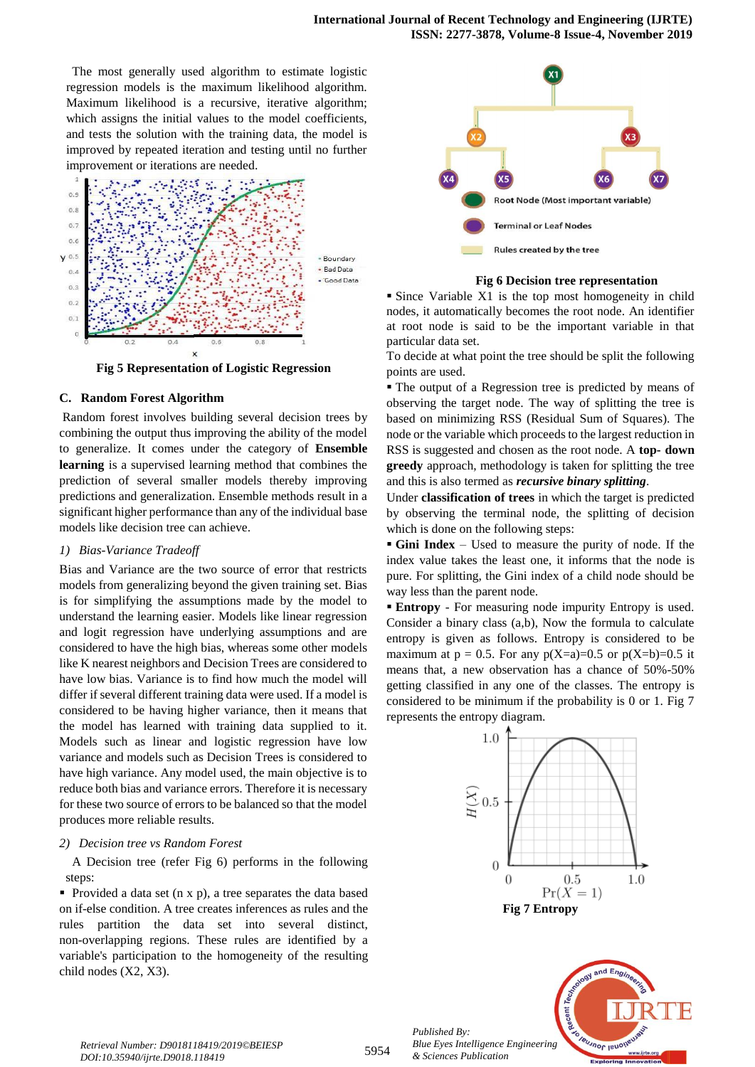The most generally used algorithm to estimate logistic regression models is the maximum likelihood algorithm. Maximum likelihood is a recursive, iterative algorithm; which assigns the initial values to the model coefficients, and tests the solution with the training data, the model is improved by repeated iteration and testing until no further improvement or iterations are needed.



**Fig 5 Representation of Logistic Regression**

## **C. Random Forest Algorithm**

Random forest involves building several decision trees by combining the output thus improving the ability of the model to generalize. It comes under the category of **Ensemble learning** is a supervised learning method that combines the prediction of several smaller models thereby improving predictions and generalization. Ensemble methods result in a significant higher performance than any of the individual base models like decision tree can achieve.

#### *1) Bias-Variance Tradeoff*

Bias and Variance are the two source of error that restricts models from generalizing beyond the given training set. Bias is for simplifying the assumptions made by the model to understand the learning easier. Models like linear regression and logit regression have underlying assumptions and are considered to have the high bias, whereas some other models like K nearest neighbors and Decision Trees are considered to have low bias. Variance is to find how much the model will differ if several different training data were used. If a model is considered to be having higher variance, then it means that the model has learned with training data supplied to it. Models such as linear and logistic regression have low variance and models such as Decision Trees is considered to have high variance. Any model used, the main objective is to reduce both bias and variance errors. Therefore it is necessary for these two source of errors to be balanced so that the model produces more reliable results.

#### *2) Decision tree vs Random Forest*

A Decision tree (refer Fig 6) performs in the following steps:

 Provided a data set (n x p), a tree separates the data based on if-else condition. A tree creates inferences as rules and the rules partition the data set into several distinct, non-overlapping regions. These rules are identified by a variable's participation to the homogeneity of the resulting child nodes (X2, X3).



#### **Fig 6 Decision tree representation**

 Since Variable X1 is the top most homogeneity in child nodes, it automatically becomes the root node. An identifier at root node is said to be the important variable in that particular data set.

To decide at what point the tree should be split the following points are used.

 The output of a Regression tree is predicted by means of observing the target node. The way of splitting the tree is based on minimizing RSS (Residual Sum of Squares). The node or the variable which proceeds to the largest reduction in RSS is suggested and chosen as the root node. A **top- down greedy** approach, methodology is taken for splitting the tree and this is also termed as *recursive binary splitting*.

Under **classification of trees** in which the target is predicted by observing the terminal node, the splitting of decision which is done on the following steps:

 **Gini Index** – Used to measure the purity of node. If the index value takes the least one, it informs that the node is pure. For splitting, the Gini index of a child node should be way less than the parent node.

 **Entropy** - For measuring node impurity Entropy is used. Consider a binary class (a,b), Now the formula to calculate entropy is given as follows. Entropy is considered to be maximum at  $p = 0.5$ . For any  $p(X=a)=0.5$  or  $p(X=b)=0.5$  it means that, a new observation has a chance of 50%-50% getting classified in any one of the classes. The entropy is considered to be minimum if the probability is 0 or 1. Fig 7 represents the entropy diagram.



*Published By: Blue Eyes Intelligence Engineering & Sciences Publication* 

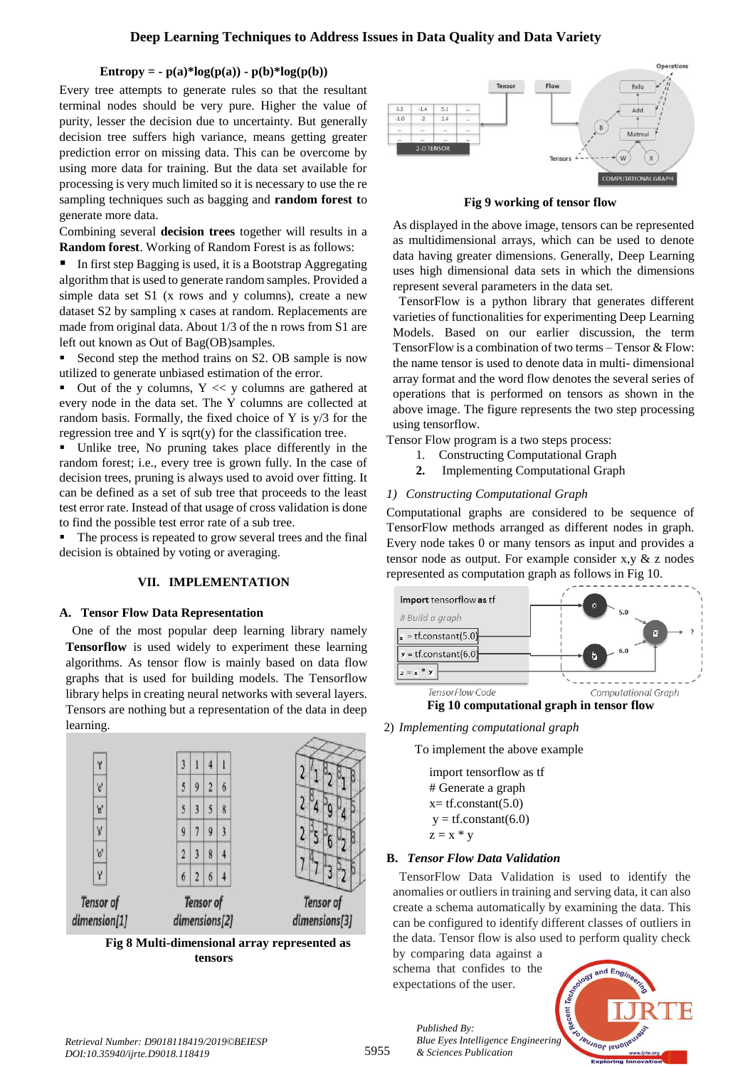# **Entropy = -** $p(a)*log(p(a)) - p(b)*log(p(b))$

Every tree attempts to generate rules so that the resultant terminal nodes should be very pure. Higher the value of purity, lesser the decision due to uncertainty. But generally decision tree suffers high variance, means getting greater prediction error on missing data. This can be overcome by using more data for training. But the data set available for processing is very much limited so it is necessary to use the re sampling techniques such as bagging and **random forest t**o generate more data.

Combining several **decision trees** together will results in a **Random forest**. Working of Random Forest is as follows:

■ In first step Bagging is used, it is a Bootstrap Aggregating algorithm that is used to generate random samples. Provided a simple data set S1 (x rows and y columns), create a new dataset S2 by sampling x cases at random. Replacements are made from original data. About 1/3 of the n rows from S1 are left out known as Out of Bag(OB)samples.

Second step the method trains on S2. OB sample is now utilized to generate unbiased estimation of the error.

Out of the y columns,  $Y \ll y$  columns are gathered at every node in the data set. The Y columns are collected at random basis. Formally, the fixed choice of Y is y/3 for the regression tree and Y is sqrt(y) for the classification tree.

 Unlike tree, No pruning takes place differently in the random forest; i.e., every tree is grown fully. In the case of decision trees, pruning is always used to avoid over fitting. It can be defined as a set of sub tree that proceeds to the least test error rate. Instead of that usage of cross validation is done to find the possible test error rate of a sub tree.

 The process is repeated to grow several trees and the final decision is obtained by voting or averaging.

# **VII. IMPLEMENTATION**

# **A. Tensor Flow Data Representation**

One of the most popular deep learning library namely **Tensorflow** is used widely to experiment these learning algorithms. As tensor flow is mainly based on data flow graphs that is used for building models. The Tensorflow library helps in creating neural networks with several layers. Tensors are nothing but a representation of the data in deep learning.







**Fig 9 working of tensor flow**

As displayed in the above image, tensors can be represented as multidimensional arrays, which can be used to denote data having greater dimensions. Generally, Deep Learning uses high dimensional data sets in which the dimensions represent several parameters in the data set.

TensorFlow is a python library that generates different varieties of functionalities for experimenting Deep Learning Models. Based on our earlier discussion, the term TensorFlow is a combination of two terms – Tensor & Flow: the name tensor is used to denote data in multi- dimensional array format and the word flow denotes the several series of operations that is performed on tensors as shown in the above image. The figure represents the two step processing using tensorflow.

Tensor Flow program is a two steps process:

- 1. Constructing Computational Graph
- **2.** Implementing Computational Graph

# *1) Constructing Computational Graph*

Computational graphs are considered to be sequence of TensorFlow methods arranged as different nodes in graph. Every node takes 0 or many tensors as input and provides a tensor node as output. For example consider  $x, y \& z$  nodes represented as computation graph as follows in Fig 10.



2) *Implementing computational graph*

To implement the above example

import tensorflow as tf # Generate a graph  $x=$  tf.constant(5.0)  $y = tf.constant(6.0)$  $z = x * y$ 

# **B.** *Tensor Flow Data Validation*

TensorFlow Data Validation is used to identify the anomalies or outliers in training and serving data, it can also create a schema automatically by examining the data. This can be configured to identify different classes of outliers in the data. Tensor flow is also used to perform quality check

by comparing data against a schema that confides to the expectations of the user.

*& Sciences Publication* 

*Published By:*



*Retrieval Number: D9018118419/2019©BEIESP DOI:10.35940/ijrte.D9018.118419*